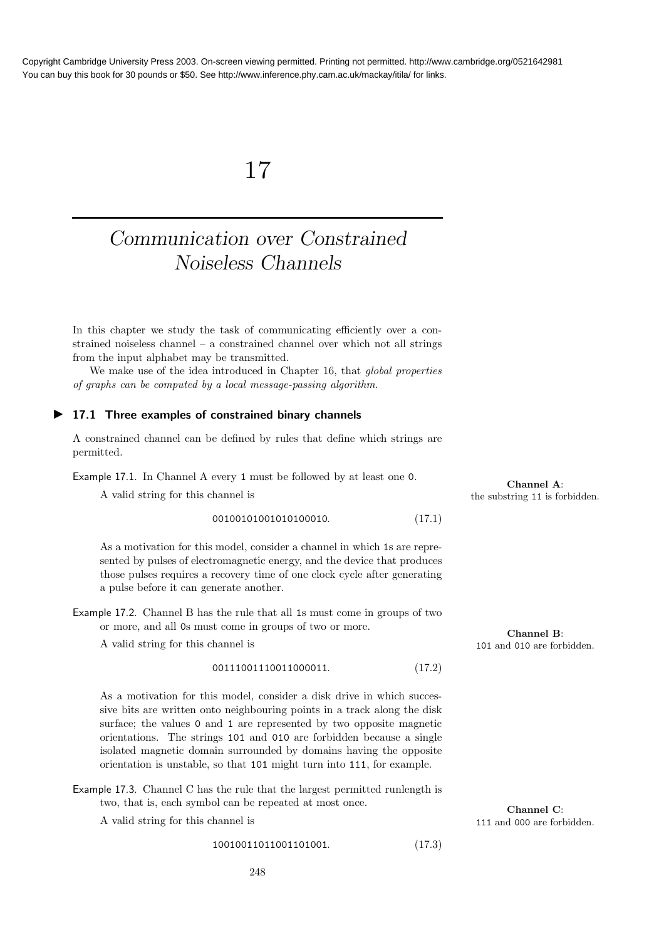# 17

# Communication over Constrained Noiseless Channels

In this chapter we study the task of communicating efficiently over a constrained noiseless channel – a constrained channel over which not all strings from the input alphabet may be transmitted.

We make use of the idea introduced in Chapter 16, that global properties of graphs can be computed by a local message-passing algorithm.

## ▶ 17.1 Three examples of constrained binary channels

A constrained channel can be defined by rules that define which strings are permitted.

Example 17.1. In Channel A every 1 must be followed by at least one 0.

A valid string for this channel is

# 00100101001010100010. (17.1)

As a motivation for this model, consider a channel in which 1s are represented by pulses of electromagnetic energy, and the device that produces those pulses requires a recovery time of one clock cycle after generating a pulse before it can generate another.

Example 17.2. Channel B has the rule that all 1s must come in groups of two or more, and all 0s must come in groups of two or more.

A valid string for this channel is 101 and 010 are forbidden.

$$
00111001110011000011.
$$
 (17.2)

As a motivation for this model, consider a disk drive in which successive bits are written onto neighbouring points in a track along the disk surface; the values 0 and 1 are represented by two opposite magnetic orientations. The strings 101 and 010 are forbidden because a single isolated magnetic domain surrounded by domains having the opposite orientation is unstable, so that 101 might turn into 111, for example.

Example 17.3. Channel C has the rule that the largest permitted runlength is two, that is, each symbol can be repeated at most once.

A valid string for this channel is 111 and 000 are forbidden.

10010011011001101001. (17.3)

**Channel A:**<br>the substring 11 is forbidden.

Channel B:

Channel C: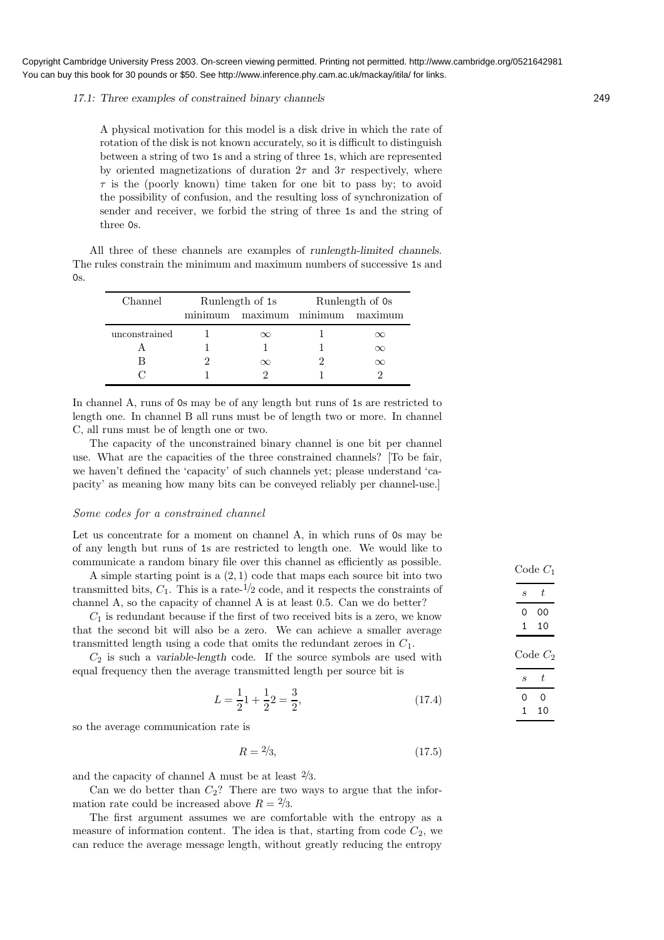#### 17.1: Three examples of constrained binary channels 249

A physical motivation for this model is a disk drive in which the rate of rotation of the disk is not known accurately, so it is difficult to distinguish between a string of two 1s and a string of three 1s, which are represented by oriented magnetizations of duration  $2\tau$  and  $3\tau$  respectively, where  $\tau$  is the (poorly known) time taken for one bit to pass by; to avoid the possibility of confusion, and the resulting loss of synchronization of sender and receiver, we forbid the string of three 1s and the string of three 0s.

All three of these channels are examples of runlength-limited channels. The rules constrain the minimum and maximum numbers of successive 1s and  $0s$ .

| Channel       | Runlength of 1s                 | Runlength of 0s |  |  |
|---------------|---------------------------------|-----------------|--|--|
|               | minimum maximum minimum maximum |                 |  |  |
| unconstrained |                                 |                 |  |  |
|               |                                 |                 |  |  |
|               | $\infty$                        |                 |  |  |
|               |                                 |                 |  |  |

In channel A, runs of 0s may be of any length but runs of 1s are restricted to length one. In channel B all runs must be of length two or more. In channel C, all runs must be of length one or two.

The capacity of the unconstrained binary channel is one bit per channel use. What are the capacities of the three constrained channels? [To be fair, we haven't defined the 'capacity' of such channels yet; please understand 'capacity' as meaning how many bits can be conveyed reliably per channel-use.]

#### Some codes for a constrained channel

Let us concentrate for a moment on channel A, in which runs of 0s may be of any length but runs of 1s are restricted to length one. We would like to communicate a random binary file over this channel as efficiently as possible. Code  $C_1$ 

A simple starting point is a  $(2,1)$  code that maps each source bit into two transmitted bits,  $C_1$ . This is a rate- $\frac{1}{2}$  code, and it respects the constraints of channel A, so the capacity of channel A is at least 0.5. Can we do better?

 $C_1$  is redundant because if the first of two received bits is a zero, we know that the second bit will also be a zero. We can achieve a smaller average transmitted length using a code that omits the redundant zeroes in  $C_1$ .

 $C_2$  is such a variable-length code. If the source symbols are used with equal frequency then the average transmitted length per source bit is

$$
L = \frac{1}{2}\n\begin{cases} \n1 + \frac{1}{2} \cdot 2 = \frac{3}{2}, \\
17.4 \cdot 2 = \frac{3}{2}.\n\end{cases}
$$

so the average communication rate is

$$
R = \frac{2}{3},\tag{17.5}
$$

and the capacity of channel A must be at least  $\frac{2}{3}$ .

Can we do better than  $C_2$ ? There are two ways to argue that the information rate could be increased above  $R = \frac{2}{3}$ .

The first argument assumes we are comfortable with the entropy as a measure of information content. The idea is that, starting from code  $C_2$ , we can reduce the average message length, without greatly reducing the entropy

 $t$ 0 00 1 10  $Code C<sub>2</sub>$  $s \, t$ 0 0 1 10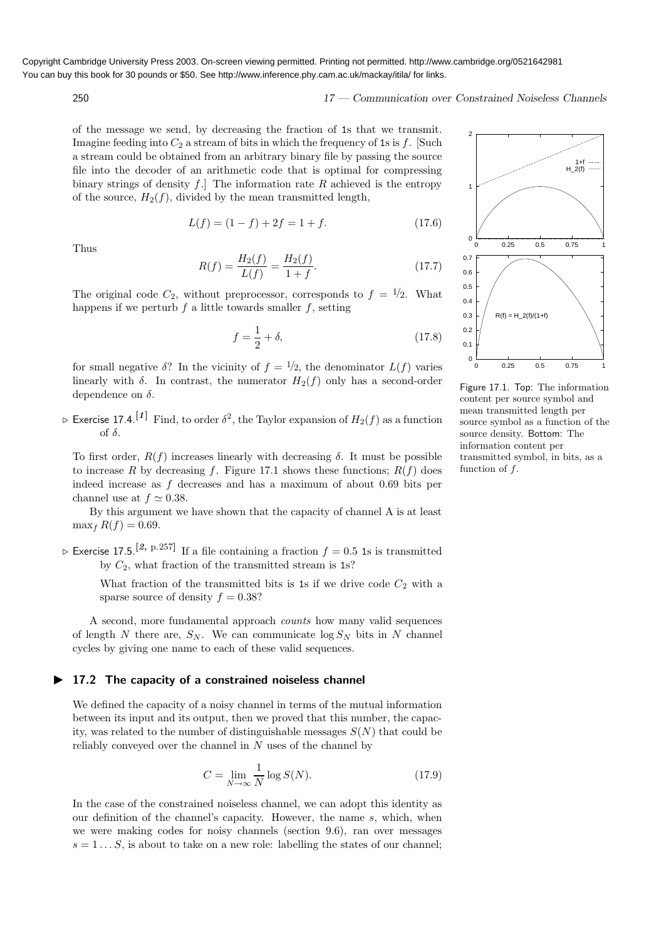250 17 — Communication over Constrained Noiseless Channels

of the message we send, by decreasing the fraction of 1s that we transmit. Imagine feeding into  $C_2$  a stream of bits in which the frequency of 1s is f. [Such a stream could be obtained from an arbitrary binary file by passing the source file into the decoder of an arithmetic code that is optimal for compressing binary strings of density f. The information rate R achieved is the entropy of the source,  $H_2(f)$ , divided by the mean transmitted length,

$$
L(f) = (1 - f) + 2f = 1 + f.
$$
\n(17.6)

Thus

$$
R(f) = \frac{H_2(f)}{L(f)} = \frac{H_2(f)}{1+f}.
$$
\n(17.7)

The original code  $C_2$ , without preprocessor, corresponds to  $f = \frac{1}{2}$ . What happens if we perturb  $f$  a little towards smaller  $f$ , setting

$$
f = \frac{1}{2} + \delta,\tag{17.8}
$$

for small negative  $\delta$ ? In the vicinity of  $f = \frac{1}{2}$ , the denominator  $L(f)$  varies linearly with  $\delta$ . In contrast, the numerator  $H_2(f)$  only has a second-order dependence on  $\delta$ .

 $\triangleright$  Exercise 17.4.  $^{[1]}$  Find, to order  $\delta^2$ , the Taylor expansion of  $H_2(f)$  as a function of  $\delta$ .

To first order,  $R(f)$  increases linearly with decreasing δ. It must be possible to increase R by decreasing f. Figure 17.1 shows these functions;  $R(f)$  does indeed increase as f decreases and has a maximum of about 0.69 bits per channel use at  $f \approx 0.38$ .

By this argument we have shown that the capacity of channel A is at least  $\max_{f} R(f) = 0.69.$ 

 $\triangleright$  Exercise 17.5.<sup>[2, p.257]</sup> If a file containing a fraction  $f = 0.5$  1s is transmitted by  $C_2$ , what fraction of the transmitted stream is 1s?

What fraction of the transmitted bits is 1s if we drive code  $C_2$  with a sparse source of density  $f = 0.38$ ?

A second, more fundamental approach counts how many valid sequences of length N there are,  $S_N$ . We can communicate  $\log S_N$  bits in N channel cycles by giving one name to each of these valid sequences.

# ▶ 17.2 The capacity of a constrained noiseless channel

We defined the capacity of a noisy channel in terms of the mutual information between its input and its output, then we proved that this number, the capacity, was related to the number of distinguishable messages  $S(N)$  that could be reliably conveyed over the channel in  $N$  uses of the channel by

$$
C = \lim_{N \to \infty} \frac{1}{N} \log S(N). \tag{17.9}
$$

In the case of the constrained noiseless channel, we can adopt this identity as our definition of the channel's capacity. However, the name s, which, when we were making codes for noisy channels (section 9.6), ran over messages  $s = 1...S$ , is about to take on a new role: labelling the states of our channel;



Figure 17.1. Top: The information content per source symbol and mean transmitted length per source symbol as a function of the source density. Bottom: The information content per transmitted symbol, in bits, as a function of  $f$ .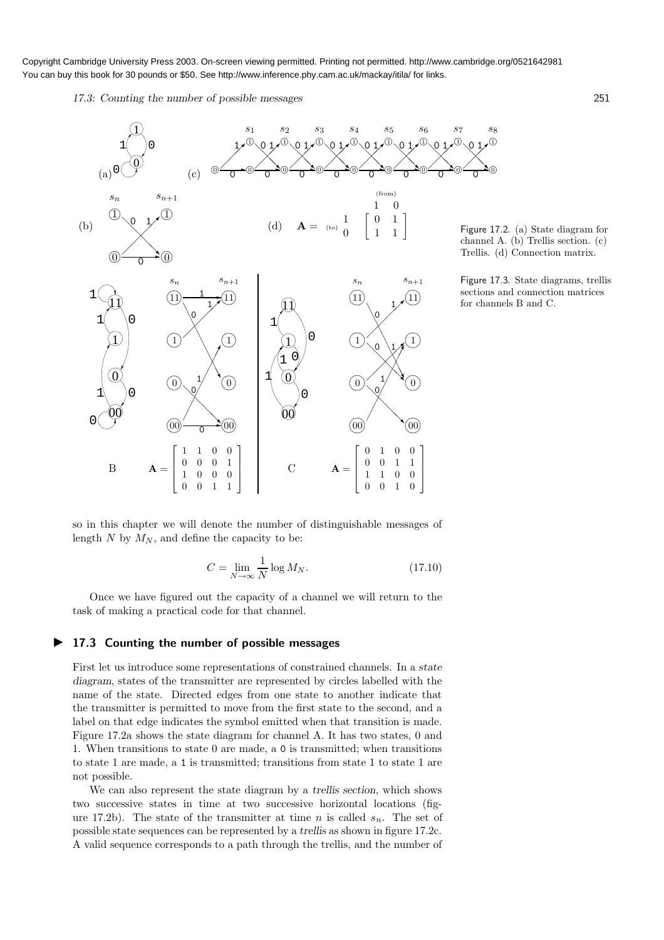17.3: Counting the number of possible messages 251



Figure 17.2. (a) State diagram for channel A. (b) Trellis section. (c) Trellis. (d) Connection matrix.

 $\mathcal{D}$ 

 $\overline{0}$ 

❢

1  $s_8$ 

Figure 17.3. State diagrams, trellis sections and connection matrices for channels B and C.

so in this chapter we will denote the number of distinguishable messages of length N by  $M_N$ , and define the capacity to be:

$$
C = \lim_{N \to \infty} \frac{1}{N} \log M_N. \tag{17.10}
$$

Once we have figured out the capacity of a channel we will return to the task of making a practical code for that channel.

## ▶ 17.3 Counting the number of possible messages

First let us introduce some representations of constrained channels. In a state diagram, states of the transmitter are represented by circles labelled with the name of the state. Directed edges from one state to another indicate that the transmitter is permitted to move from the first state to the second, and a label on that edge indicates the symbol emitted when that transition is made. Figure 17.2a shows the state diagram for channel A. It has two states, 0 and 1. When transitions to state 0 are made, a 0 is transmitted; when transitions to state 1 are made, a 1 is transmitted; transitions from state 1 to state 1 are not possible.

We can also represent the state diagram by a trellis section, which shows two successive states in time at two successive horizontal locations (figure 17.2b). The state of the transmitter at time n is called  $s_n$ . The set of possible state sequences can be represented by a trellis as shown in figure 17.2c. A valid sequence corresponds to a path through the trellis, and the number of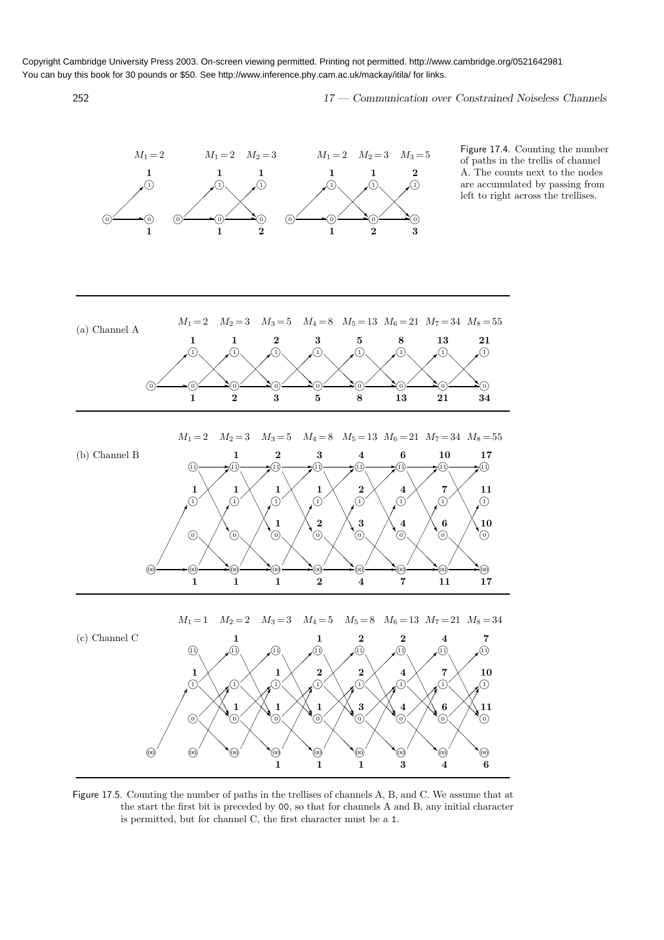252 17 — Communication over Constrained Noiseless Channels



Figure 17.5. Counting the number of paths in the trellises of channels A, B, and C. We assume that at the start the first bit is preceded by 00, so that for channels A and B, any initial character is permitted, but for channel C, the first character must be a 1.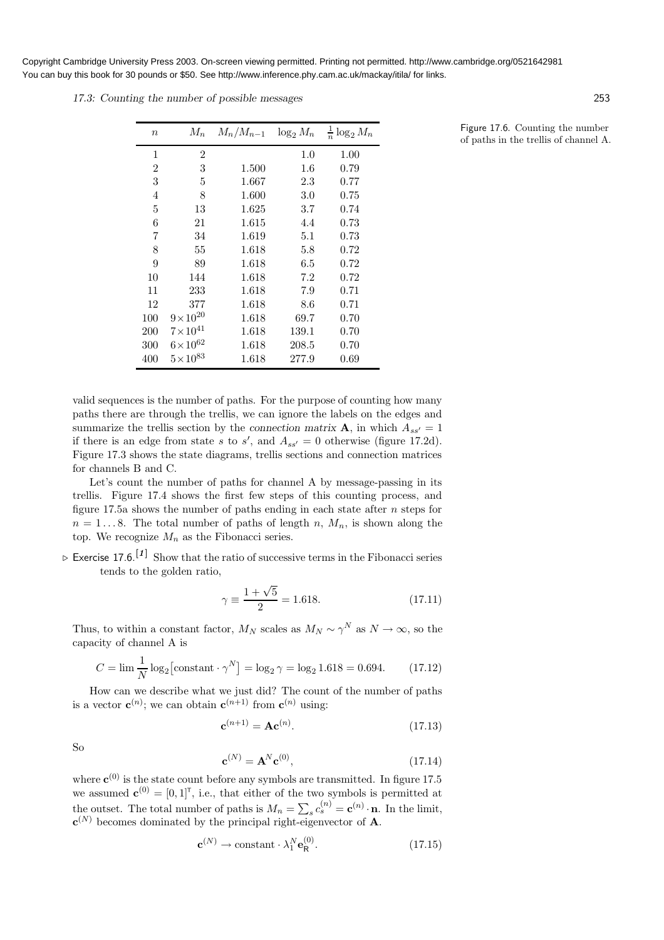17.3: Counting the number of possible messages 253

| $\boldsymbol{n}$ | $M_n$              | $M_n/M_{n-1}$ | $\log_2 M_n$ | $\frac{1}{n} \log_2 M_n$ |
|------------------|--------------------|---------------|--------------|--------------------------|
| $\mathbf{1}$     | $\overline{2}$     |               | 1.0          | 1.00                     |
| $\overline{2}$   | 3                  | 1.500         | $1.6\,$      | 0.79                     |
| 3                | 5                  | 1.667         | 2.3          | 0.77                     |
| 4                | 8                  | 1.600         | 3.0          | 0.75                     |
| 5                | 13                 | 1.625         | 3.7          | 0.74                     |
| 6                | 21                 | 1.615         | 4.4          | 0.73                     |
| 7                | 34                 | 1.619         | $5.1\,$      | 0.73                     |
| 8                | 55                 | 1.618         | 5.8          | 0.72                     |
| 9                | 89                 | 1.618         | 6.5          | 0.72                     |
| 10               | 144                | 1.618         | 7.2          | 0.72                     |
| 11               | 233                | 1.618         | 7.9          | 0.71                     |
| 12               | 377                | 1.618         | 8.6          | 0.71                     |
| 100              | $9 \times 10^{20}$ | 1.618         | 69.7         | 0.70                     |
| 200              | $7 \times 10^{41}$ | 1.618         | 139.1        | 0.70                     |
| 300              | $6 \times 10^{62}$ | 1.618         | 208.5        | 0.70                     |
| 400              | $5 \times 10^{83}$ | 1.618         | 277.9        | 0.69                     |

valid sequences is the number of paths. For the purpose of counting how many paths there are through the trellis, we can ignore the labels on the edges and summarize the trellis section by the connection matrix **A**, in which  $A_{ss'} = 1$ if there is an edge from state s to s', and  $A_{ss'} = 0$  otherwise (figure 17.2d). Figure 17.3 shows the state diagrams, trellis sections and connection matrices for channels B and C.

Let's count the number of paths for channel A by message-passing in its trellis. Figure 17.4 shows the first few steps of this counting process, and figure 17.5a shows the number of paths ending in each state after  $n$  steps for  $n = 1...8$ . The total number of paths of length n,  $M_n$ , is shown along the top. We recognize  $M_n$  as the Fibonacci series.

 $\triangleright$  Exercise 17.6.<sup>[1]</sup> Show that the ratio of successive terms in the Fibonacci series tends to the golden ratio,

$$
\gamma \equiv \frac{1 + \sqrt{5}}{2} = 1.618. \tag{17.11}
$$

Thus, to within a constant factor,  $M_N$  scales as  $M_N \sim \gamma^N$  as  $N \to \infty$ , so the capacity of channel A is

$$
C = \lim_{N} \frac{1}{N} \log_2 \left[ \text{constant} \cdot \gamma^N \right] = \log_2 \gamma = \log_2 1.618 = 0.694. \tag{17.12}
$$

How can we describe what we just did? The count of the number of paths is a vector  $\mathbf{c}^{(n)}$ ; we can obtain  $\mathbf{c}^{(n+1)}$  from  $\mathbf{c}^{(n)}$  using:

$$
\mathbf{c}^{(n+1)} = \mathbf{A}\mathbf{c}^{(n)}.\tag{17.13}
$$

So

$$
\mathbf{c}^{(N)} = \mathbf{A}^N \mathbf{c}^{(0)},\tag{17.14}
$$

where  $\mathbf{c}^{(0)}$  is the state count before any symbols are transmitted. In figure 17.5 we assumed  $\mathbf{c}^{(0)} = [0,1]^T$ , i.e., that either of the two symbols is permitted at the outset. The total number of paths is  $M_n = \sum_s c_s^{(n)} = \mathbf{c}^{(n)} \cdot \mathbf{n}$ . In the limit,  $\mathbf{c}^{(N)}$  becomes dominated by the principal right-eigenvector of **A**.

$$
\mathbf{c}^{(N)} \to \text{constant} \cdot \lambda_1^N \mathbf{e}_R^{(0)}.\tag{17.15}
$$

Figure 17.6. Counting the number of paths in the trellis of channel A.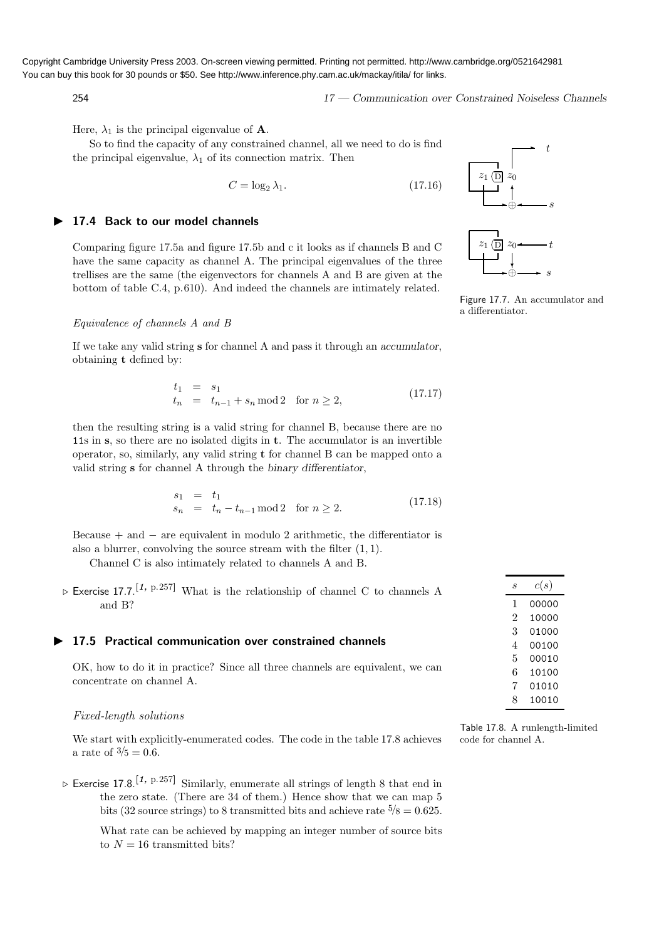$$
17 - Communication \ over \ Constrained \ Noiseless \ Channels
$$

Here,  $\lambda_1$  is the principal eigenvalue of **A**.

So to find the capacity of any constrained channel, all we need to do is find the principal eigenvalue,  $\lambda_1$  of its connection matrix. Then

$$
C = \log_2 \lambda_1. \tag{17.16}
$$

## ▶ 17.4 Back to our model channels

Comparing figure 17.5a and figure 17.5b and c it looks as if channels B and C have the same capacity as channel A. The principal eigenvalues of the three trellises are the same (the eigenvectors for channels A and B are given at the bottom of table C.4, p.610). And indeed the channels are intimately related.

#### Equivalence of channels A and B

If we take any valid string s for channel A and pass it through an accumulator, obtaining t defined by:

$$
t_1 = s_1 \n t_n = t_{n-1} + s_n \mod 2 \quad \text{for } n \ge 2,
$$
\n(17.17)

then the resulting string is a valid string for channel B, because there are no 11s in s, so there are no isolated digits in t. The accumulator is an invertible operator, so, similarly, any valid string t for channel B can be mapped onto a valid string s for channel A through the binary differentiator,

$$
s_1 = t_1 s_n = t_n - t_{n-1} \mod 2 \text{ for } n \ge 2.
$$
 (17.18)

Because  $+$  and  $-$  are equivalent in modulo 2 arithmetic, the differentiator is also a blurrer, convolving the source stream with the filter  $(1, 1)$ .

Channel C is also intimately related to channels A and B.

 $\triangleright$  Exercise 17.7.<sup>[1, p.257]</sup> What is the relationship of channel C to channels A and B?

# ▶ 17.5 Practical communication over constrained channels

OK, how to do it in practice? Since all three channels are equivalent, we can concentrate on channel A.

#### Fixed-length solutions

We start with explicitly-enumerated codes. The code in the table 17.8 achieves a rate of  $\frac{3}{5} = 0.6$ .

 $\triangleright$  Exercise 17.8.<sup>[1, p.257]</sup> Similarly, enumerate all strings of length 8 that end in the zero state. (There are 34 of them.) Hence show that we can map 5 bits (32 source strings) to 8 transmitted bits and achieve rate  $\frac{5}{8} = 0.625$ .

What rate can be achieved by mapping an integer number of source bits to  $N = 16$  transmitted bits?





Figure 17.7. An accumulator and a differentiator.

| S | c(s)  |
|---|-------|
| 1 | 00000 |
| 2 | 10000 |
| 3 | 01000 |
| 4 | 00100 |
| 5 | 00010 |
| 6 | 10100 |
| 7 | 01010 |
| 8 | 10010 |
|   |       |

Table 17.8. A runlength-limited code for channel A.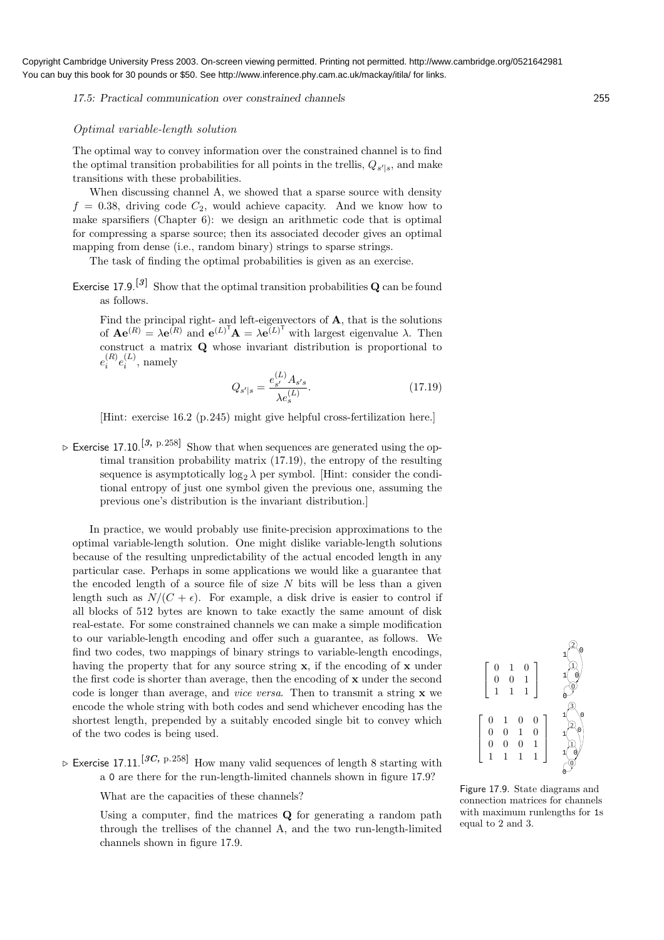17.5: Practical communication over constrained channels 255

## Optimal variable-length solution

The optimal way to convey information over the constrained channel is to find the optimal transition probabilities for all points in the trellis,  $Q_{s'|s}$ , and make transitions with these probabilities.

When discussing channel A, we showed that a sparse source with density  $f = 0.38$ , driving code  $C_2$ , would achieve capacity. And we know how to make sparsifiers (Chapter 6): we design an arithmetic code that is optimal for compressing a sparse source; then its associated decoder gives an optimal mapping from dense (i.e., random binary) strings to sparse strings.

The task of finding the optimal probabilities is given as an exercise.

Exercise 17.9.<sup>[3]</sup> Show that the optimal transition probabilities **Q** can be found as follows.

Find the principal right- and left-eigenvectors of A, that is the solutions of  $\mathbf{A} \mathbf{e}^{(R)} = \lambda \mathbf{e}^{(R)}$  and  $\mathbf{e}^{(L)^T} \mathbf{A} = \lambda \mathbf{e}^{(L)^T}$  with largest eigenvalue  $\lambda$ . Then construct a matrix Q whose invariant distribution is proportional to  $e^{(R)}_i$  $\binom{R}{i}e_i^{(L)}$  $i^{\left(\nu\right)}$ , namely

$$
Q_{s'|s} = \frac{e_{s'}^{(L)} A_{s's}}{\lambda e_s^{(L)}}.
$$
\n(17.19)

[Hint: exercise 16.2 (p.245) might give helpful cross-fertilization here.]

 $\triangleright$  Exercise 17.10.<sup>[3, p.258]</sup> Show that when sequences are generated using the optimal transition probability matrix (17.19), the entropy of the resulting sequence is asymptotically  $\log_2 \lambda$  per symbol. [Hint: consider the conditional entropy of just one symbol given the previous one, assuming the previous one's distribution is the invariant distribution.]

In practice, we would probably use finite-precision approximations to the optimal variable-length solution. One might dislike variable-length solutions because of the resulting unpredictability of the actual encoded length in any particular case. Perhaps in some applications we would like a guarantee that the encoded length of a source file of size  $N$  bits will be less than a given length such as  $N/(C + \epsilon)$ . For example, a disk drive is easier to control if all blocks of 512 bytes are known to take exactly the same amount of disk real-estate. For some constrained channels we can make a simple modification to our variable-length encoding and offer such a guarantee, as follows. We find two codes, two mappings of binary strings to variable-length encodings, having the property that for any source string x, if the encoding of x under the first code is shorter than average, then the encoding of  $x$  under the second code is longer than average, and vice versa. Then to transmit a string x we encode the whole string with both codes and send whichever encoding has the shortest length, prepended by a suitably encoded single bit to convey which of the two codes is being used.

 $\triangleright$  Exercise 17.11.<sup>[3C, p.258]</sup> How many valid sequences of length 8 starting with a 0 are there for the run-length-limited channels shown in figure 17.9?

What are the capacities of these channels?

Using a computer, find the matrices Q for generating a random path through the trellises of the channel A, and the two run-length-limited channels shown in figure 17.9.



Figure 17.9. State diagrams and connection matrices for channels with maximum runlengths for 1s equal to 2 and 3.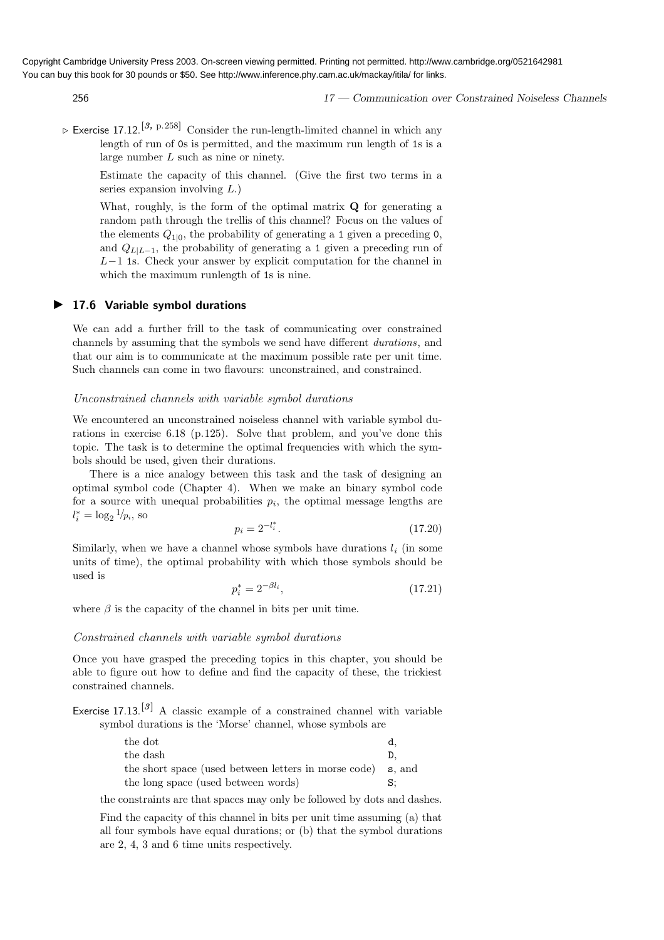256 17 — Communication over Constrained Noiseless Channels

 $\triangleright$  Exercise 17.12.<sup>[3, p.258]</sup> Consider the run-length-limited channel in which any length of run of 0s is permitted, and the maximum run length of 1s is a large number L such as nine or ninety.

Estimate the capacity of this channel. (Give the first two terms in a series expansion involving L.)

What, roughly, is the form of the optimal matrix **Q** for generating a random path through the trellis of this channel? Focus on the values of the elements  $Q_{1|0}$ , the probability of generating a 1 given a preceding 0, and  $Q_{L|L-1}$ , the probability of generating a 1 given a preceding run of  $L-1$  1s. Check your answer by explicit computation for the channel in which the maximum runlength of 1s is nine.

# ▶ 17.6 Variable symbol durations

We can add a further frill to the task of communicating over constrained channels by assuming that the symbols we send have different durations, and that our aim is to communicate at the maximum possible rate per unit time. Such channels can come in two flavours: unconstrained, and constrained.

## Unconstrained channels with variable symbol durations

We encountered an unconstrained noiseless channel with variable symbol durations in exercise 6.18 (p.125). Solve that problem, and you've done this topic. The task is to determine the optimal frequencies with which the symbols should be used, given their durations.

There is a nice analogy between this task and the task of designing an optimal symbol code (Chapter 4). When we make an binary symbol code for a source with unequal probabilities  $p_i$ , the optimal message lengths are  $l_i^* = \log_2 1/p_i$ , so

$$
p_i = 2^{-l_i^*}.\tag{17.20}
$$

Similarly, when we have a channel whose symbols have durations  $l_i$  (in some units of time), the optimal probability with which those symbols should be used is

$$
p_i^* = 2^{-\beta l_i},\tag{17.21}
$$

where  $\beta$  is the capacity of the channel in bits per unit time.

#### Constrained channels with variable symbol durations

Once you have grasped the preceding topics in this chapter, you should be able to figure out how to define and find the capacity of these, the trickiest constrained channels.

Exercise 17.13.<sup>[3]</sup> A classic example of a constrained channel with variable symbol durations is the 'Morse' channel, whose symbols are

| the dot                                                     | d. |
|-------------------------------------------------------------|----|
| the dash                                                    |    |
| the short space (used between letters in morse code) s, and |    |
| the long space (used between words)                         | S: |

the constraints are that spaces may only be followed by dots and dashes.

Find the capacity of this channel in bits per unit time assuming (a) that all four symbols have equal durations; or (b) that the symbol durations are 2, 4, 3 and 6 time units respectively.